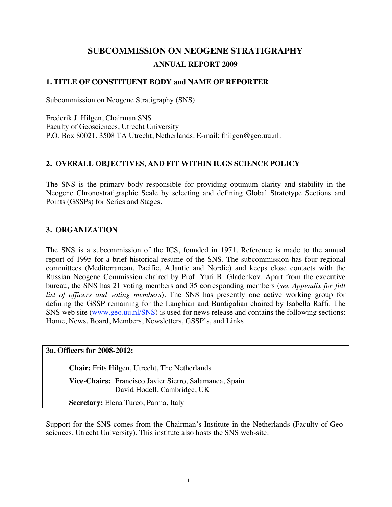# **SUBCOMMISSION ON NEOGENE STRATIGRAPHY ANNUAL REPORT 2009**

### **1. TITLE OF CONSTITUENT BODY and NAME OF REPORTER**

Subcommission on Neogene Stratigraphy (SNS)

Frederik J. Hilgen, Chairman SNS Faculty of Geosciences, Utrecht University P.O. Box 80021, 3508 TA Utrecht, Netherlands. E-mail: fhilgen@geo.uu.nl.

## **2. OVERALL OBJECTIVES, AND FIT WITHIN IUGS SCIENCE POLICY**

The SNS is the primary body responsible for providing optimum clarity and stability in the Neogene Chronostratigraphic Scale by selecting and defining Global Stratotype Sections and Points (GSSPs) for Series and Stages.

#### **3. ORGANIZATION**

The SNS is a subcommission of the ICS, founded in 1971. Reference is made to the annual report of 1995 for a brief historical resume of the SNS. The subcommission has four regional committees (Mediterranean, Pacific, Atlantic and Nordic) and keeps close contacts with the Russian Neogene Commission chaired by Prof. Yuri B. Gladenkov. Apart from the executive bureau, the SNS has 21 voting members and 35 corresponding members (*see Appendix for full list of officers and voting members*). The SNS has presently one active working group for defining the GSSP remaining for the Langhian and Burdigalian chaired by Isabella Raffi. The SNS web site (www.geo.uu.nl/SNS) is used for news release and contains the following sections: Home, News, Board, Members, Newsletters, GSSP's, and Links.

**3a. Officers for 2008-2012:** 

**Chair:** Frits Hilgen, Utrecht, The Netherlands

**Vice-Chairs:** Francisco Javier Sierro, Salamanca, Spain David Hodell, Cambridge, UK

**Secretary:** Elena Turco, Parma, Italy

Support for the SNS comes from the Chairman's Institute in the Netherlands (Faculty of Geosciences, Utrecht University). This institute also hosts the SNS web-site.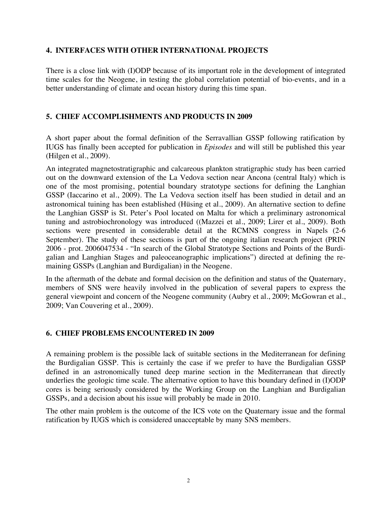#### **4. INTERFACES WITH OTHER INTERNATIONAL PROJECTS**

There is a close link with (I)ODP because of its important role in the development of integrated time scales for the Neogene, in testing the global correlation potential of bio-events, and in a better understanding of climate and ocean history during this time span.

### **5. CHIEF ACCOMPLISHMENTS AND PRODUCTS IN 2009**

A short paper about the formal definition of the Serravallian GSSP following ratification by IUGS has finally been accepted for publication in *Episodes* and will still be published this year (Hilgen et al., 2009).

An integrated magnetostratigraphic and calcareous plankton stratigraphic study has been carried out on the downward extension of the La Vedova section near Ancona (central Italy) which is one of the most promising, potential boundary stratotype sections for defining the Langhian GSSP (Iaccarino et al., 2009). The La Vedova section itself has been studied in detail and an astronomical tuining has been established (Hüsing et al., 2009). An alternative section to define the Langhian GSSP is St. Peter's Pool located on Malta for which a preliminary astronomical tuning and astrobiochronology was introduced ((Mazzei et al., 2009; Lirer et al., 2009). Both sections were presented in considerable detail at the RCMNS congress in Napels (2-6 September). The study of these sections is part of the ongoing italian research project (PRIN 2006 - prot. 2006047534 - "In search of the Global Stratotype Sections and Points of the Burdigalian and Langhian Stages and paleoceanographic implications") directed at defining the remaining GSSPs (Langhian and Burdigalian) in the Neogene.

In the aftermath of the debate and formal decision on the definition and status of the Quaternary, members of SNS were heavily involved in the publication of several papers to express the general viewpoint and concern of the Neogene community (Aubry et al., 2009; McGowran et al., 2009; Van Couvering et al., 2009).

### **6. CHIEF PROBLEMS ENCOUNTERED IN 2009**

A remaining problem is the possible lack of suitable sections in the Mediterranean for defining the Burdigalian GSSP. This is certainly the case if we prefer to have the Burdigalian GSSP defined in an astronomically tuned deep marine section in the Mediterranean that directly underlies the geologic time scale. The alternative option to have this boundary defined in (I)ODP cores is being seriously considered by the Working Group on the Langhian and Burdigalian GSSPs, and a decision about his issue will probably be made in 2010.

The other main problem is the outcome of the ICS vote on the Quaternary issue and the formal ratification by IUGS which is considered unacceptable by many SNS members.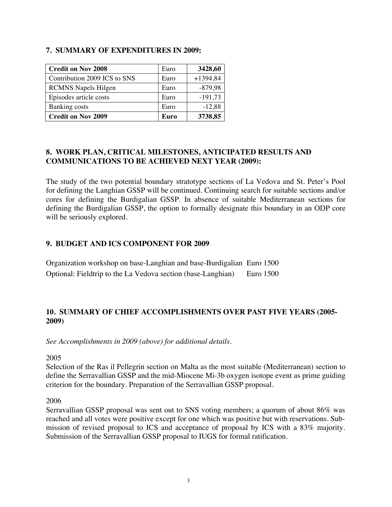### **7. SUMMARY OF EXPENDITURES IN 2009:**

| <b>Credit on Nov 2008</b>    | Euro | 3428,60    |
|------------------------------|------|------------|
| Contribution 2009 ICS to SNS | Euro | $+1394,84$ |
| <b>RCMNS</b> Napels Hilgen   | Euro | $-879,98$  |
| Episodes article costs       | Euro | $-191,73$  |
| Banking costs                | Euro | $-12,88$   |
| <b>Credit on Nov 2009</b>    | Euro | 3738,85    |

### **8. WORK PLAN, CRITICAL MILESTONES, ANTICIPATED RESULTS AND COMMUNICATIONS TO BE ACHIEVED NEXT YEAR (2009):**

The study of the two potential boundary stratotype sections of La Vedova and St. Peter's Pool for defining the Langhian GSSP will be continued. Continuing search for suitable sections and/or cores for defining the Burdigalian GSSP. In absence of suitable Mediterranean sections for defining the Burdigalian GSSP, the option to formally designate this boundary in an ODP core will be seriously explored.

### **9. BUDGET AND ICS COMPONENT FOR 2009**

| Organization workshop on base-Langhian and base-Burdigalian Euro 1500  |  |
|------------------------------------------------------------------------|--|
| Optional: Fieldtrip to the La Vedova section (base-Langhian) Euro 1500 |  |

## **10. SUMMARY OF CHIEF ACCOMPLISHMENTS OVER PAST FIVE YEARS (2005- 2009)**

*See Accomplishments in 2009 (above) for additional details.* 

2005

Selection of the Ras il Pellegrin section on Malta as the most suitable (Mediterranean) section to define the Serravallian GSSP and the mid-Miocene Mi-3b oxygen isotope event as prime guiding criterion for the boundary. Preparation of the Serravallian GSSP proposal.

2006

Serravallian GSSP proposal was sent out to SNS voting members; a quorum of about 86% was reached and all votes were positive except for one which was positive but with reservations. Submission of revised proposal to ICS and acceptance of proposal by ICS with a 83% majority. Submission of the Serravallian GSSP proposal to IUGS for formal ratification.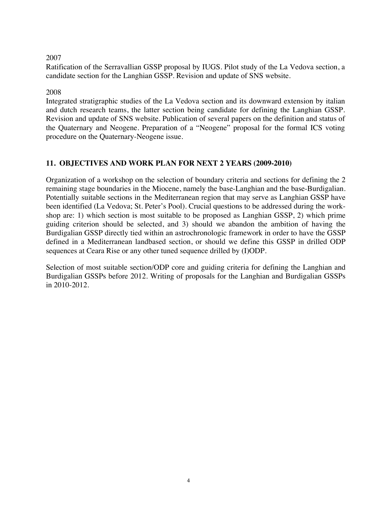#### 2007

Ratification of the Serravallian GSSP proposal by IUGS. Pilot study of the La Vedova section, a candidate section for the Langhian GSSP. Revision and update of SNS website.

#### 2008

Integrated stratigraphic studies of the La Vedova section and its downward extension by italian and dutch research teams, the latter section being candidate for defining the Langhian GSSP. Revision and update of SNS website. Publication of several papers on the definition and status of the Quaternary and Neogene. Preparation of a "Neogene" proposal for the formal ICS voting procedure on the Quaternary-Neogene issue.

### **11. OBJECTIVES AND WORK PLAN FOR NEXT 2 YEARS (2009-2010)**

Organization of a workshop on the selection of boundary criteria and sections for defining the 2 remaining stage boundaries in the Miocene, namely the base-Langhian and the base-Burdigalian. Potentially suitable sections in the Mediterranean region that may serve as Langhian GSSP have been identified (La Vedova; St. Peter's Pool). Crucial questions to be addressed during the workshop are: 1) which section is most suitable to be proposed as Langhian GSSP, 2) which prime guiding criterion should be selected, and 3) should we abandon the ambition of having the Burdigalian GSSP directly tied within an astrochronologic framework in order to have the GSSP defined in a Mediterranean landbased section, or should we define this GSSP in drilled ODP sequences at Ceara Rise or any other tuned sequence drilled by (I)ODP.

Selection of most suitable section/ODP core and guiding criteria for defining the Langhian and Burdigalian GSSPs before 2012. Writing of proposals for the Langhian and Burdigalian GSSPs in 2010-2012.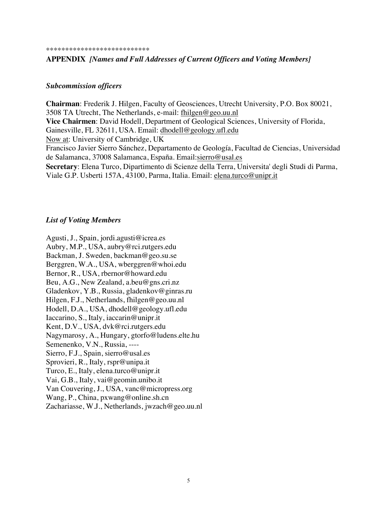#### \*\*\*\*\*\*\*\*\*\*\*\*\*\*\*\*\*\*\*\*\*\*\*\*\*\*\*

#### **APPENDIX** *[Names and Full Addresses of Current Officers and Voting Members]*

#### *Subcommission officers*

**Chairman**: Frederik J. Hilgen, Faculty of Geosciences, Utrecht University, P.O. Box 80021, 3508 TA Utrecht, The Netherlands, e-mail: fhilgen@geo.uu.nl **Vice Chairmen**: David Hodell, Department of Geological Sciences, University of Florida, Gainesville, FL 32611, USA. Email: dhodell@geology.ufl.edu Now at: University of Cambridge, UK Francisco Javier Sierro Sánchez, Departamento de Geología, Facultad de Ciencias, Universidad de Salamanca, 37008 Salamanca, España. Email:sierro@usal.es **Secretary**: Elena Turco, Dipartimento di Scienze della Terra, Universita' degli Studi di Parma, Viale G.P. Usberti 157A, 43100, Parma, Italia. Email: elena.turco@unipr.it

#### *List of Voting Members*

Agusti, J., Spain, jordi.agusti@icrea.es Aubry, M.P., USA, aubry@rci.rutgers.edu Backman, J. Sweden, backman@geo.su.se Berggren, W.A., USA, wberggren@whoi.edu Bernor, R., USA, rbernor@howard.edu Beu, A.G., New Zealand, a.beu@gns.cri.nz Gladenkov, Y.B., Russia, gladenkov@ginras.ru Hilgen, F.J., Netherlands, fhilgen@geo.uu.nl Hodell, D.A., USA, dhodell@geology.ufl.edu Iaccarino, S., Italy, iaccarin@unipr.it Kent, D.V., USA, dvk@rci.rutgers.edu Nagymarosy, A., Hungary, gtorfo@ludens.elte.hu Semenenko, V.N., Russia, ---- Sierro, F.J., Spain, sierro@usal.es Sprovieri, R., Italy, rspr@unipa.it Turco, E., Italy, elena.turco@unipr.it Vai, G.B., Italy, vai@geomin.unibo.it Van Couvering, J., USA, vanc@micropress.org Wang, P., China, pxwang@online.sh.cn Zachariasse, W.J., Netherlands, jwzach@geo.uu.nl